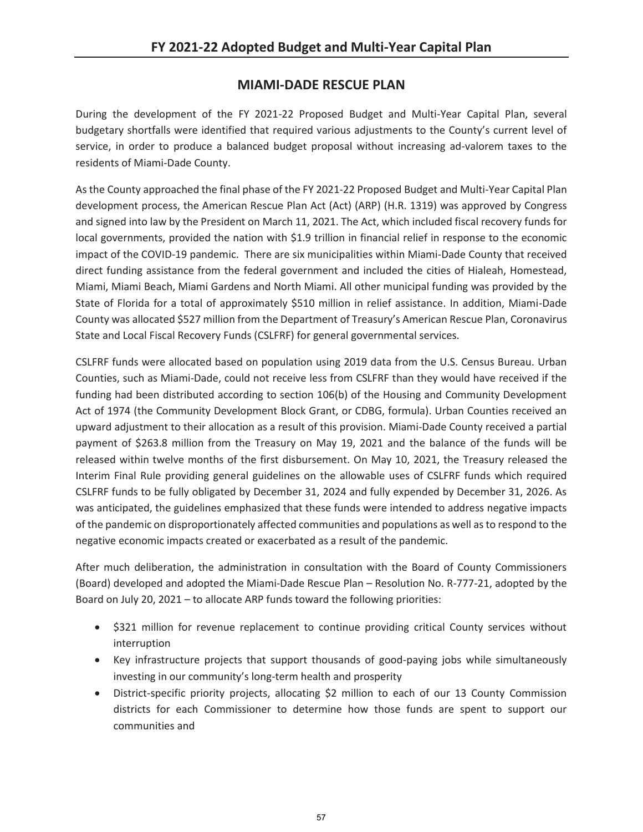## **MIAMI-DADE RESCUE PLAN**

During the development of the FY 2021-22 Proposed Budget and Multi-Year Capital Plan, several budgetary shortfalls were identified that required various adjustments to the County's current level of service, in order to produce a balanced budget proposal without increasing ad-valorem taxes to the residents of Miami-Dade County.

As the County approached the final phase of the FY 2021-22 Proposed Budget and Multi-Year Capital Plan development process, the American Rescue Plan Act (Act) (ARP) (H.R. 1319) was approved by Congress and signed into law by the President on March 11, 2021. The Act, which included fiscal recovery funds for local governments, provided the nation with \$1.9 trillion in financial relief in response to the economic impact of the COVID-19 pandemic. There are six municipalities within Miami-Dade County that received direct funding assistance from the federal government and included the cities of Hialeah, Homestead, Miami, Miami Beach, Miami Gardens and North Miami. All other municipal funding was provided by the State of Florida for a total of approximately \$510 million in relief assistance. In addition, Miami-Dade County was allocated \$527 million from the Department of Treasury's American Rescue Plan, Coronavirus State and Local Fiscal Recovery Funds (CSLFRF) for general governmental services.

CSLFRF funds were allocated based on population using 2019 data from the U.S. Census Bureau. Urban Counties, such as Miami-Dade, could not receive less from CSLFRF than they would have received if the funding had been distributed according to section 106(b) of the Housing and Community Development Act of 1974 (the Community Development Block Grant, or CDBG, formula). Urban Counties received an upward adjustment to their allocation as a result of this provision. Miami-Dade County received a partial payment of \$263.8 million from the Treasury on May 19, 2021 and the balance of the funds will be released within twelve months of the first disbursement. On May 10, 2021, the Treasury released the Interim Final Rule providing general guidelines on the allowable uses of CSLFRF funds which required CSLFRF funds to be fully obligated by December 31, 2024 and fully expended by December 31, 2026. As was anticipated, the guidelines emphasized that these funds were intended to address negative impacts of the pandemic on disproportionately affected communities and populations as well as to respond to the negative economic impacts created or exacerbated as a result of the pandemic.

After much deliberation, the administration in consultation with the Board of County Commissioners (Board) developed and adopted the Miami-Dade Rescue Plan – Resolution No. R-777-21, adopted by the Board on July 20, 2021 – to allocate ARP funds toward the following priorities:

- \$321 million for revenue replacement to continue providing critical County services without interruption
- Key infrastructure projects that support thousands of good-paying jobs while simultaneously investing in our community's long-term health and prosperity
- District-specific priority projects, allocating \$2 million to each of our 13 County Commission districts for each Commissioner to determine how those funds are spent to support our communities and